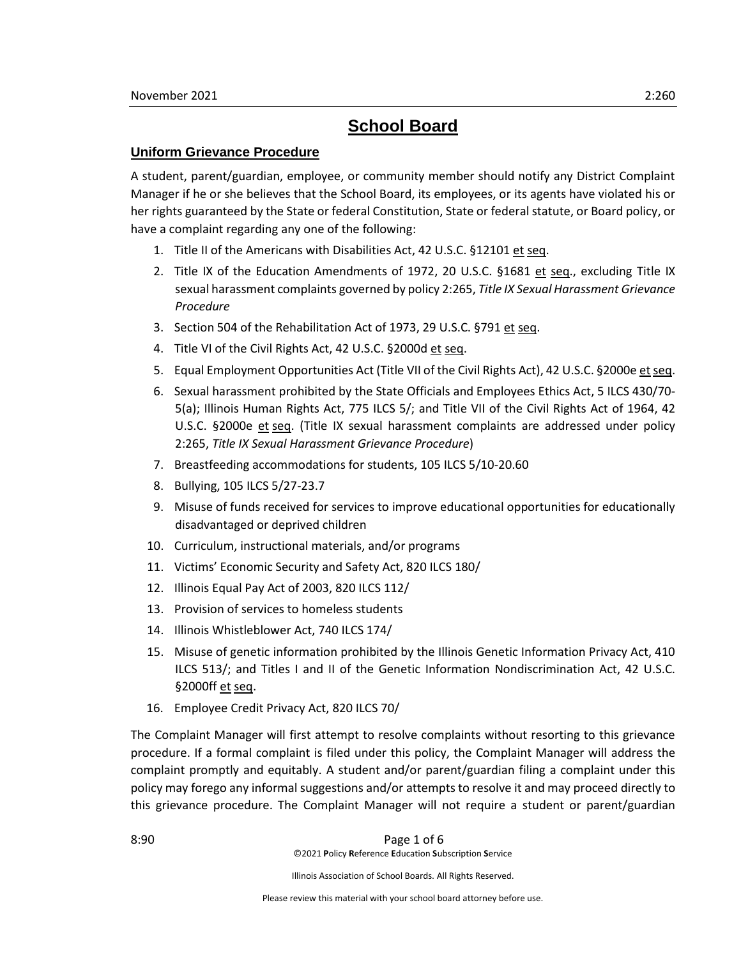# **School Board**

# **Uniform Grievance Procedure**

A student, parent/guardian, employee, or community member should notify any District Complaint Manager if he or she believes that the School Board, its employees, or its agents have violated his or her rights guaranteed by the State or federal Constitution, State or federal statute, or Board policy, or have a complaint regarding any one of the following:

- 1. Title II of the Americans with Disabilities Act, 42 U.S.C. §12101 et seq.
- 2. Title IX of the Education Amendments of 1972, 20 U.S.C. §1681 et seq., excluding Title IX sexual harassment complaints governed by policy 2:265, *Title IX Sexual Harassment Grievance Procedure*
- 3. Section 504 of the Rehabilitation Act of 1973, 29 U.S.C. §791 et seq.
- 4. Title VI of the Civil Rights Act, 42 U.S.C. §2000d et seq.
- 5. Equal Employment Opportunities Act (Title VII of the Civil Rights Act), 42 U.S.C. §2000e et seq.
- 6. Sexual harassment prohibited by the State Officials and Employees Ethics Act, 5 ILCS 430/70- 5(a); Illinois Human Rights Act, 775 ILCS 5/; and Title VII of the Civil Rights Act of 1964, 42 U.S.C. §2000e et seq. (Title IX sexual harassment complaints are addressed under policy 2:265, *Title IX Sexual Harassment Grievance Procedure*)
- 7. Breastfeeding accommodations for students, 105 ILCS 5/10-20.60
- 8. Bullying, 105 ILCS 5/27-23.7
- 9. Misuse of funds received for services to improve educational opportunities for educationally disadvantaged or deprived children
- 10. Curriculum, instructional materials, and/or programs
- 11. Victims' Economic Security and Safety Act, 820 ILCS 180/
- 12. Illinois Equal Pay Act of 2003, 820 ILCS 112/
- 13. Provision of services to homeless students
- 14. Illinois Whistleblower Act, 740 ILCS 174/
- 15. Misuse of genetic information prohibited by the Illinois Genetic Information Privacy Act, 410 ILCS 513/; and Titles I and II of the Genetic Information Nondiscrimination Act, 42 U.S.C. §2000ff et seq.
- 16. Employee Credit Privacy Act, 820 ILCS 70/

The Complaint Manager will first attempt to resolve complaints without resorting to this grievance procedure. If a formal complaint is filed under this policy, the Complaint Manager will address the complaint promptly and equitably. A student and/or parent/guardian filing a complaint under this policy may forego any informal suggestions and/or attempts to resolve it and may proceed directly to this grievance procedure. The Complaint Manager will not require a student or parent/guardian

8:90 **Page 1 of 6** ©2021 **P**olicy **R**eference **E**ducation **S**ubscription **S**ervice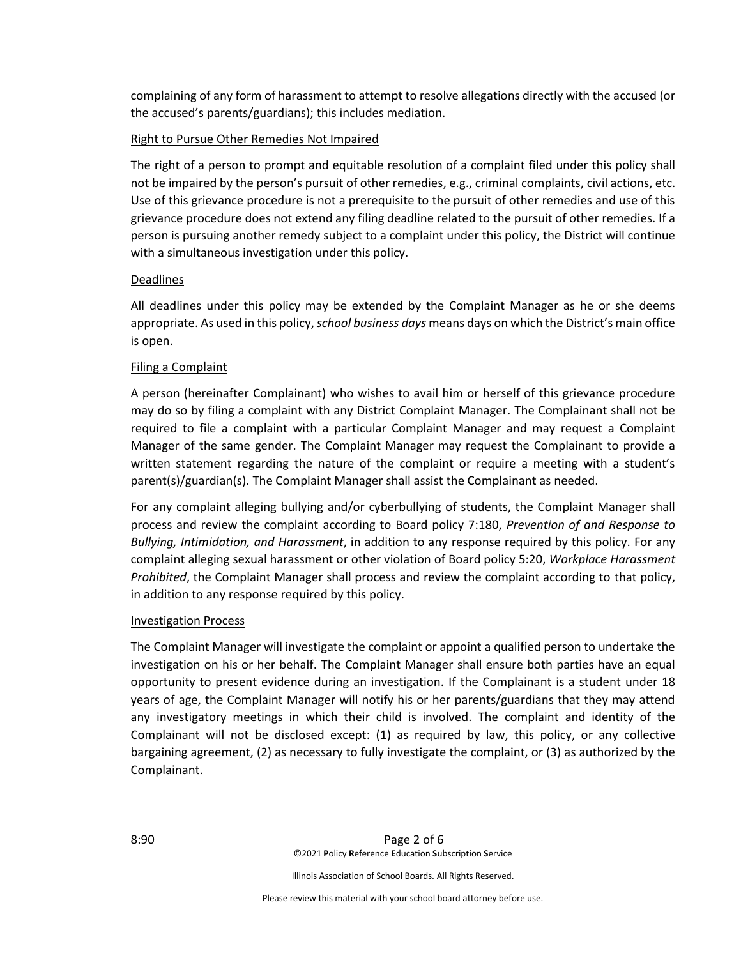complaining of any form of harassment to attempt to resolve allegations directly with the accused (or the accused's parents/guardians); this includes mediation.

### Right to Pursue Other Remedies Not Impaired

The right of a person to prompt and equitable resolution of a complaint filed under this policy shall not be impaired by the person's pursuit of other remedies, e.g., criminal complaints, civil actions, etc. Use of this grievance procedure is not a prerequisite to the pursuit of other remedies and use of this grievance procedure does not extend any filing deadline related to the pursuit of other remedies. If a person is pursuing another remedy subject to a complaint under this policy, the District will continue with a simultaneous investigation under this policy.

## Deadlines

All deadlines under this policy may be extended by the Complaint Manager as he or she deems appropriate. As used in this policy, *school business days* means days on which the District's main office is open.

## Filing a Complaint

A person (hereinafter Complainant) who wishes to avail him or herself of this grievance procedure may do so by filing a complaint with any District Complaint Manager. The Complainant shall not be required to file a complaint with a particular Complaint Manager and may request a Complaint Manager of the same gender. The Complaint Manager may request the Complainant to provide a written statement regarding the nature of the complaint or require a meeting with a student's parent(s)/guardian(s). The Complaint Manager shall assist the Complainant as needed.

For any complaint alleging bullying and/or cyberbullying of students, the Complaint Manager shall process and review the complaint according to Board policy 7:180, *Prevention of and Response to Bullying, Intimidation, and Harassment*, in addition to any response required by this policy. For any complaint alleging sexual harassment or other violation of Board policy 5:20, *Workplace Harassment Prohibited*, the Complaint Manager shall process and review the complaint according to that policy, in addition to any response required by this policy.

#### Investigation Process

The Complaint Manager will investigate the complaint or appoint a qualified person to undertake the investigation on his or her behalf. The Complaint Manager shall ensure both parties have an equal opportunity to present evidence during an investigation. If the Complainant is a student under 18 years of age, the Complaint Manager will notify his or her parents/guardians that they may attend any investigatory meetings in which their child is involved. The complaint and identity of the Complainant will not be disclosed except: (1) as required by law, this policy, or any collective bargaining agreement, (2) as necessary to fully investigate the complaint, or (3) as authorized by the Complainant.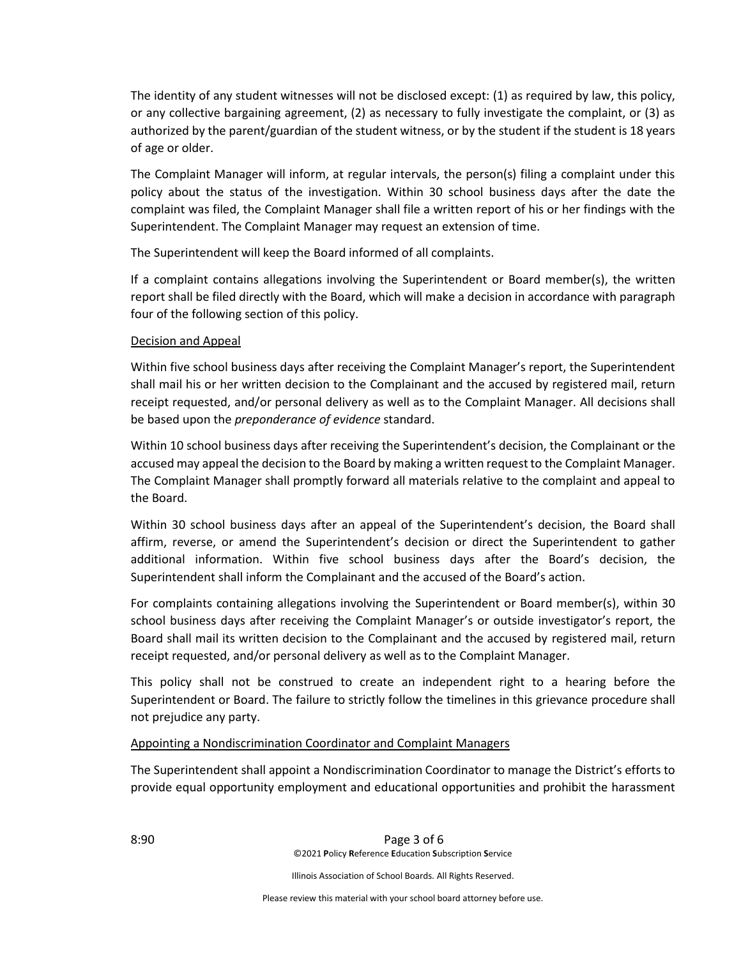The identity of any student witnesses will not be disclosed except: (1) as required by law, this policy, or any collective bargaining agreement, (2) as necessary to fully investigate the complaint, or (3) as authorized by the parent/guardian of the student witness, or by the student if the student is 18 years of age or older.

The Complaint Manager will inform, at regular intervals, the person(s) filing a complaint under this policy about the status of the investigation. Within 30 school business days after the date the complaint was filed, the Complaint Manager shall file a written report of his or her findings with the Superintendent. The Complaint Manager may request an extension of time.

The Superintendent will keep the Board informed of all complaints.

If a complaint contains allegations involving the Superintendent or Board member(s), the written report shall be filed directly with the Board, which will make a decision in accordance with paragraph four of the following section of this policy.

## Decision and Appeal

Within five school business days after receiving the Complaint Manager's report, the Superintendent shall mail his or her written decision to the Complainant and the accused by registered mail, return receipt requested, and/or personal delivery as well as to the Complaint Manager. All decisions shall be based upon the *preponderance of evidence* standard.

Within 10 school business days after receiving the Superintendent's decision, the Complainant or the accused may appeal the decision to the Board by making a written request to the Complaint Manager. The Complaint Manager shall promptly forward all materials relative to the complaint and appeal to the Board.

Within 30 school business days after an appeal of the Superintendent's decision, the Board shall affirm, reverse, or amend the Superintendent's decision or direct the Superintendent to gather additional information. Within five school business days after the Board's decision, the Superintendent shall inform the Complainant and the accused of the Board's action.

For complaints containing allegations involving the Superintendent or Board member(s), within 30 school business days after receiving the Complaint Manager's or outside investigator's report, the Board shall mail its written decision to the Complainant and the accused by registered mail, return receipt requested, and/or personal delivery as well as to the Complaint Manager.

This policy shall not be construed to create an independent right to a hearing before the Superintendent or Board. The failure to strictly follow the timelines in this grievance procedure shall not prejudice any party.

# Appointing a Nondiscrimination Coordinator and Complaint Managers

The Superintendent shall appoint a Nondiscrimination Coordinator to manage the District's efforts to provide equal opportunity employment and educational opportunities and prohibit the harassment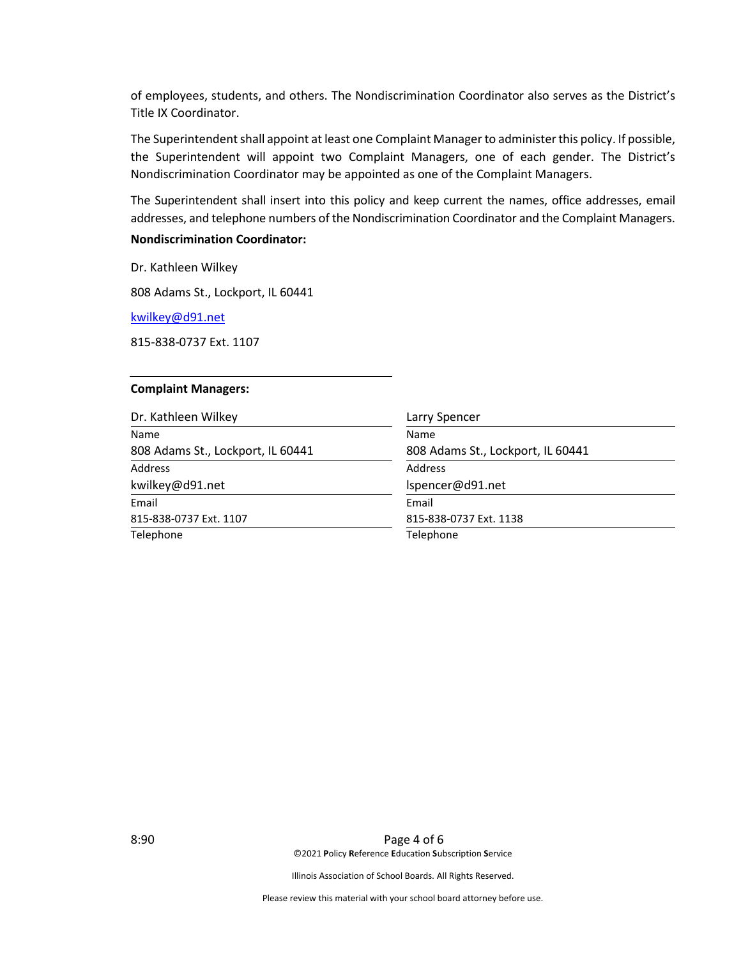of employees, students, and others. The Nondiscrimination Coordinator also serves as the District's Title IX Coordinator.

The Superintendent shall appoint at least one Complaint Manager to administer this policy. If possible, the Superintendent will appoint two Complaint Managers, one of each gender. The District's Nondiscrimination Coordinator may be appointed as one of the Complaint Managers.

The Superintendent shall insert into this policy and keep current the names, office addresses, email addresses, and telephone numbers of the Nondiscrimination Coordinator and the Complaint Managers.

# **Nondiscrimination Coordinator:**

Dr. Kathleen Wilkey

808 Adams St., Lockport, IL 60441

[kwilkey@d91.net](mailto:kwilkey@d91.net)

815-838-0737 Ext. 1107

#### **Complaint Managers:**

| Dr. Kathleen Wilkey               | Larry Spencer                     |
|-----------------------------------|-----------------------------------|
| Name                              | Name                              |
| 808 Adams St., Lockport, IL 60441 | 808 Adams St., Lockport, IL 60441 |
| <b>Address</b>                    | Address                           |
| kwilkey@d91.net                   | Ispencer@d91.net                  |
| Email                             | Email                             |
| 815-838-0737 Ext. 1107            | 815-838-0737 Ext. 1138            |
| Telephone                         | Telephone                         |

8:90 Page 4 of 6 ©2021 **P**olicy **R**eference **E**ducation **S**ubscription **S**ervice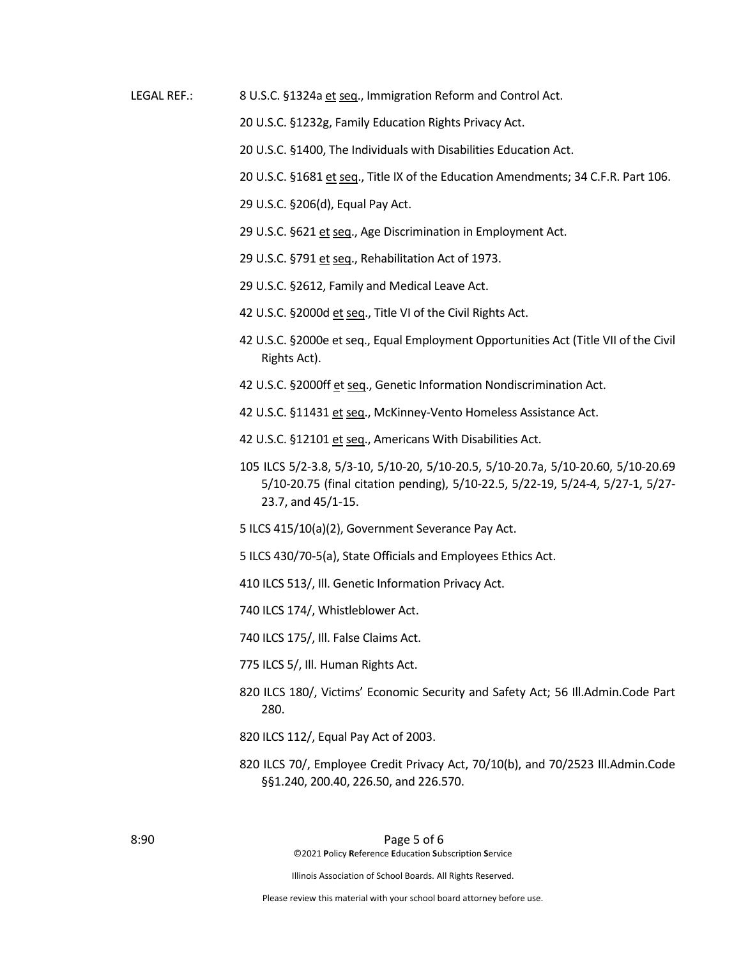**LEGAL REF.:** 8 U.S.C. §1324a et seq., Immigration Reform and Control Act.

20 U.S.C. §1232g, Family Education Rights Privacy Act.

20 U.S.C. §1400, The Individuals with Disabilities Education Act.

20 U.S.C. §1681 et seq., Title IX of the Education Amendments; 34 C.F.R. Part 106.

29 U.S.C. §206(d), Equal Pay Act.

29 U.S.C. §621 et seq., Age Discrimination in Employment Act.

29 U.S.C. §791 et seq., Rehabilitation Act of 1973.

29 U.S.C. §2612, Family and Medical Leave Act.

42 U.S.C. §2000d et seq., Title VI of the Civil Rights Act.

42 U.S.C. §2000e et seg., Equal Employment Opportunities Act (Title VII of the Civil Rights Act).

42 U.S.C. §2000ff et seq., Genetic Information Nondiscrimination Act.

42 U.S.C. §11431 et seq., McKinney-Vento Homeless Assistance Act.

42 U.S.C. §12101 et seq., Americans With Disabilities Act.

105 ILCS 5/2-3.8, 5/3-10, 5/10-20, 5/10-20.5, 5/10-20.7a, 5/10-20.60, 5/10-20.69 5/10-20.75 (final citation pending), 5/10-22.5, 5/22-19, 5/24-4, 5/27-1, 5/27-23.7, and 45/1-15.

5 ILCS 415/10(a)(2), Government Severance Pay Act.

5 ILCS 430/70-5(a), State Officials and Employees Ethics Act.

410 ILCS 513/, Ill. Genetic Information Privacy Act.

740 ILCS 174/, Whistleblower Act.

740 ILCS 175/, Ill. False Claims Act.

775 ILCS 5/, Ill. Human Rights Act.

- 820 ILCS 180/, Victims' Economic Security and Safety Act; 56 Ill.Admin.Code Part 280.
- 820 ILCS 112/, Equal Pay Act of 2003.
- 820 ILCS 70/, Employee Credit Privacy Act, 70/10(b), and 70/2523 Ill.Admin.Code §§1.240, 200.40, 226.50, and 226.570.